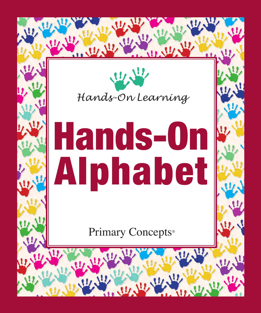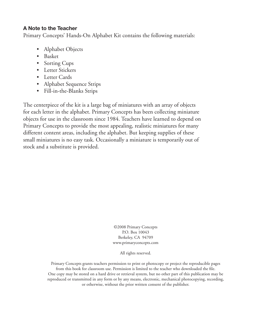#### **A Note to the Teacher**

Primary Concepts' Hands-On Alphabet Kit contains the following materials:

- Alphabet Objects
- Basket
- Sorting Cups
- Letter Stickers
- Letter Cards
- Alphabet Sequence Strips
- Fill-in-the-Blanks Strips

The centerpiece of the kit is a large bag of miniatures with an array of objects for each letter in the alphabet. Primary Concepts has been collecting miniature objects for use in the classroom since 1984. Teachers have learned to depend on Primary Concepts to provide the most appealing, realistic miniatures for many different content areas, including the alphabet. But keeping supplies of these small miniatures is no easy task. Occasionally a miniature is temporarily out of stock and a substitute is provided.

> ©2008 Primary Concepts P.O. Box 10043 Berkeley, CA 94709 www.primaryconcepts.com

> > All rights reserved.

Primary Concepts grants teachers permission to print or photocopy or project the reproducible pages from this book for classroom use. Permission is limited to the teacher who downloaded the file. One copy may be stored on a hard drive or retrieval system, but no other part of this publication may be reproduced or transmitted in any form or by any means, electronic, mechanical photocopying, recording, or otherwise, without the prior written consent of the publisher.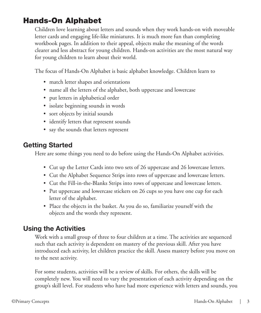# Hands-On Alphabet

Children love learning about letters and sounds when they work hands-on with moveable letter cards and engaging life-like miniatures. It is much more fun than completing workbook pages. In addition to their appeal, objects make the meaning of the words clearer and less abstract for young children. Hands-on activities are the most natural way for young children to learn about their world.

The focus of Hands-On Alphabet is basic alphabet knowledge. Children learn to

- match letter shapes and orientations
- name all the letters of the alphabet, both uppercase and lowercase
- put letters in alphabetical order
- isolate beginning sounds in words
- sort objects by initial sounds
- identify letters that represent sounds
- say the sounds that letters represent

## **Getting Started**

Here are some things you need to do before using the Hands-On Alphabet activities.

- Cut up the Letter Cards into two sets of 26 uppercase and 26 lowercase letters.
- Cut the Alphabet Sequence Strips into rows of uppercase and lowercase letters.
- Cut the Fill-in-the-Blanks Strips into rows of uppercase and lowercase letters.
- Put uppercase and lowercase stickers on 26 cups so you have one cup for each letter of the alphabet.
- Place the objects in the basket. As you do so, familiarize yourself with the objects and the words they represent.

## **Using the Activities**

Work with a small group of three to four children at a time. The activities are sequenced such that each activity is dependent on mastery of the previous skill. After you have introduced each activity, let children practice the skill. Assess mastery before you move on to the next activity.

For some students, activities will be a review of skills. For others, the skills will be completely new. You will need to vary the presentation of each activity depending on the group's skill level. For students who have had more experience with letters and sounds, you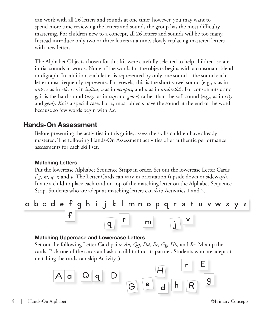can work with all 26 letters and sounds at one time; however, you may want to spend more time reviewing the letters and sounds the group has the most difficulty mastering. For children new to a concept, all 26 letters and sounds will be too many. Instead introduce only two or three letters at a time, slowly replacing mastered letters with new letters.

The Alphabet Objects chosen for this kit were carefully selected to help children isolate initial sounds in words. None of the words for the objects begins with a consonant blend or digraph. In addition, each letter is represented by only one sound—the sound each letter most frequently represents. For vowels, this is the short vowel sound (e.g., *a* as in *ants*, *e* as in *elk*, *i* as in *infant*, *o* as in *octopus*, and *u* as in *umbrella*). For consonants *c* and *g*, it is the hard sound (e.g., as in *cap* and *goose*) rather than the soft sound (e.g., as in *city* and *gem*). *Xx* is a special case. For *x*, most objects have the sound at the end of the word because so few words begin with *Xx*.

## **Hands-On Assessment**

Before presenting the activities in this guide, assess the skills children have already mastered. The following Hands-On Assessment activities offer authentic performance assessments for each skill set.

#### **Matching Letters**

Put the lowercase Alphabet Sequence Strips in order. Set out the lowercase Letter Cards *f, j, m, q, r,* and *v*. The Letter Cards can vary in orientation (upside down or sideways). Invite a child to place each card on top of the matching letter on the Alphabet Sequence Strip. Students who are adept at matching letters can skip Activities 1 and 2.

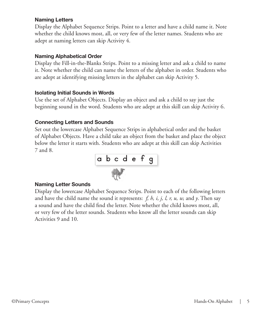#### **Naming Letters**

Display the Alphabet Sequence Strips. Point to a letter and have a child name it. Note whether the child knows most, all, or very few of the letter names. Students who are adept at naming letters can skip Activity 4.

#### **Naming Alphabetical Order**

Display the Fill-in-the-Blanks Strips. Point to a missing letter and ask a child to name it. Note whether the child can name the letters of the alphabet in order. Students who are adept at identifying missing letters in the alphabet can skip Activity 5.

#### **Isolating Initial Sounds in Words**

Use the set of Alphabet Objects. Display an object and ask a child to say just the beginning sound in the word. Students who are adept at this skill can skip Activity 6.

#### **Connecting Letters and Sounds**

Set out the lowercase Alphabet Sequence Strips in alphabetical order and the basket of Alphabet Objects. Have a child take an object from the basket and place the object below the letter it starts with. Students who are adept at this skill can skip Activities 7 and 8.



#### **Naming Letter Sounds**

Display the lowercase Alphabet Sequence Strips. Point to each of the following letters and have the child name the sound it represents: *f, h, i, j, l, r, u, w,* and *y*. Then say a sound and have the child find the letter. Note whether the child knows most, all, or very few of the letter sounds. Students who know all the letter sounds can skip Activities 9 and 10.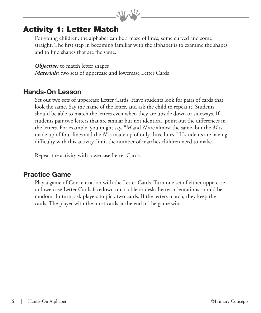# Activity 1: Letter Match

For young children, the alphabet can be a maze of lines, some curved and some straight. The first step in becoming familiar with the alphabet is to examine the shapes and to find shapes that are the same.

 $9.9$ 

*Objective:* to match letter shapes *Materials:* two sets of uppercase and lowercase Letter Cards

#### **Hands-On Lesson**

Set out two sets of uppercase Letter Cards. Have students look for pairs of cards that look the same. Say the name of the letter, and ask the child to repeat it. Students should be able to match the letters even when they are upside down or sideways. If students pair two letters that are similar but not identical, point out the differences in the letters. For example, you might say, "*M* and *N* are almost the same, but the *M* is made up of four lines and the *N* is made up of only three lines." If students are having difficulty with this activity, limit the number of matches children need to make.

Repeat the activity with lowercase Letter Cards.

#### **Practice Game**

Play a game of Concentration with the Letter Cards. Turn one set of either uppercase or lowercase Letter Cards facedown on a table or desk. Letter orientations should be random. In turn, ask players to pick two cards. If the letters match, they keep the cards. The player with the most cards at the end of the game wins.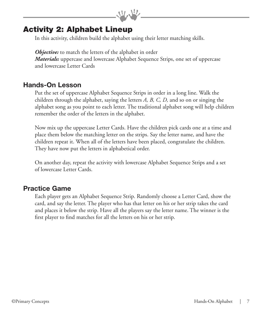## Activity 2: Alphabet Lineup

In this activity, children build the alphabet using their letter matching skills.

*Objective:* to match the letters of the alphabet in order *Materials:* uppercase and lowercase Alphabet Sequence Strips, one set of uppercase and lowercase Letter Cards

99.92

## **Hands-On Lesson**

Put the set of uppercase Alphabet Sequence Strips in order in a long line. Walk the children through the alphabet, saying the letters *A, B, C, D,* and so on or singing the alphabet song as you point to each letter. The traditional alphabet song will help children remember the order of the letters in the alphabet.

Now mix up the uppercase Letter Cards. Have the children pick cards one at a time and place them below the matching letter on the strips. Say the letter name, and have the children repeat it. When all of the letters have been placed, congratulate the children. They have now put the letters in alphabetical order.

On another day, repeat the activity with lowercase Alphabet Sequence Strips and a set of lowercase Letter Cards.

#### **Practice Game**

Each player gets an Alphabet Sequence Strip. Randomly choose a Letter Card, show the card, and say the letter. The player who has that letter on his or her strip takes the card and places it below the strip. Have all the players say the letter name. The winner is the first player to find matches for all the letters on his or her strip.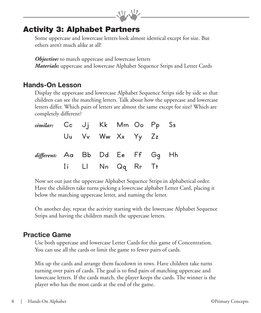# Activity 3: Alphabet Partners

Some uppercase and lowercase letters look almost identical except for size. But others aren't much alike at all!

 $\eta_{\rm{D}}$ 

*Objective:* to match uppercase and lowercase letters *Materials:* uppercase and lowercase Alphabet Sequence Strips and Letter Cards

## **Hands-On Lesson**

Display the uppercase and lowercase Alphabet Sequence Strips side by side so that children can see the matching letters. Talk about how the uppercase and lowercase letters differ. Which pairs of letters are almost the same except for size? Which are completely different?

| similar: Cc Jj Kk Mm Oo Pp Ss   |  |                   |  |  |
|---------------------------------|--|-------------------|--|--|
|                                 |  | Uu Vv Ww Xx Yy Zz |  |  |
| different: Aa Bb Dd Ee Ff Gq Hh |  |                   |  |  |
|                                 |  | Ii Ll Nn Qq Rr Tt |  |  |

Now set out just the uppercase Alphabet Sequence Strips in alphabetical order. Have the children take turns picking a lowercase alphabet Letter Card, placing it below the matching uppercase letter, and naming the letter.

On another day, repeat the activity starting with the lowercase Alphabet Sequence Strips and having the children match the uppercase letters.

#### **Practice Game**

Use both uppercase and lowercase Letter Cards for this game of Concentration. You can use all the cards or limit the game to fewer pairs of cards.

Mix up the cards and arrange them facedown in rows. Have children take turns turning over pairs of cards. The goal is to find pairs of matching uppercase and lowercase letters. If the cards match, the player keeps the cards. The winner is the player who has the most cards at the end of the game.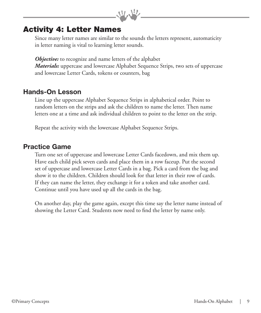## Activity 4: Letter Names

Since many letter names are similar to the sounds the letters represent, automaticity in letter naming is vital to learning letter sounds.

 $9.9$ 

**Objective:** to recognize and name letters of the alphabet *Materials:* uppercase and lowercase Alphabet Sequence Strips, two sets of uppercase and lowercase Letter Cards, tokens or counters, bag

#### **Hands-On Lesson**

Line up the uppercase Alphabet Sequence Strips in alphabetical order. Point to random letters on the strips and ask the children to name the letter. Then name letters one at a time and ask individual children to point to the letter on the strip.

Repeat the activity with the lowercase Alphabet Sequence Strips.

#### **Practice Game**

Turn one set of uppercase and lowercase Letter Cards facedown, and mix them up. Have each child pick seven cards and place them in a row faceup. Put the second set of uppercase and lowercase Letter Cards in a bag. Pick a card from the bag and show it to the children. Children should look for that letter in their row of cards. If they can name the letter, they exchange it for a token and take another card. Continue until you have used up all the cards in the bag.

On another day, play the game again, except this time say the letter name instead of showing the Letter Card. Students now need to find the letter by name only.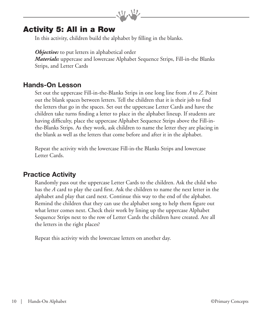## Activity 5: All in a Row

In this activity, children build the alphabet by filling in the blanks.

*Objective:* to put letters in alphabetical order *Materials:* uppercase and lowercase Alphabet Sequence Strips, Fill-in-the Blanks Strips, and Letter Cards

99.99

## **Hands-On Lesson**

Set out the uppercase Fill-in-the-Blanks Strips in one long line from *A* to *Z*. Point out the blank spaces between letters. Tell the children that it is their job to find the letters that go in the spaces. Set out the uppercase Letter Cards and have the children take turns finding a letter to place in the alphabet lineup. If students are having difficulty, place the uppercase Alphabet Sequence Strips above the Fill-inthe-Blanks Strips. As they work, ask children to name the letter they are placing in the blank as well as the letters that come before and after it in the alphabet.

Repeat the activity with the lowercase Fill-in-the Blanks Strips and lowercase Letter Cards.

## **Practice Activity**

Randomly pass out the uppercase Letter Cards to the children. Ask the child who has the *A* card to play the card first. Ask the children to name the next letter in the alphabet and play that card next. Continue this way to the end of the alphabet. Remind the children that they can use the alphabet song to help them figure out what letter comes next. Check their work by lining up the uppercase Alphabet Sequence Strips next to the row of Letter Cards the children have created. Are all the letters in the right places?

Repeat this activity with the lowercase letters on another day.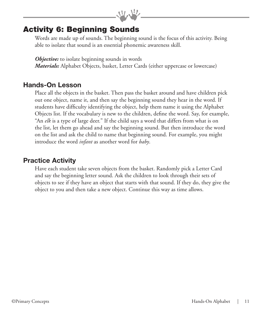# Activity 6: Beginning Sounds

Words are made up of sounds. The beginning sound is the focus of this activity. Being able to isolate that sound is an essential phonemic awareness skill.

 $9.9$ 

*Objective:* to isolate beginning sounds in words *Materials:* Alphabet Objects, basket, Letter Cards (either uppercase or lowercase)

#### **Hands-On Lesson**

Place all the objects in the basket. Then pass the basket around and have children pick out one object, name it, and then say the beginning sound they hear in the word. If students have difficulty identifying the object, help them name it using the Alphabet Objects list. If the vocabulary is new to the children, define the word. Say, for example, "An *elk* is a type of large deer." If the child says a word that differs from what is on the list, let them go ahead and say the beginning sound. But then introduce the word on the list and ask the child to name that beginning sound. For example, you might introduce the word *infant* as another word for *baby*.

#### **Practice Activity**

Have each student take seven objects from the basket. Randomly pick a Letter Card and say the beginning letter sound. Ask the children to look through their sets of objects to see if they have an object that starts with that sound. If they do, they give the object to you and then take a new object. Continue this way as time allows.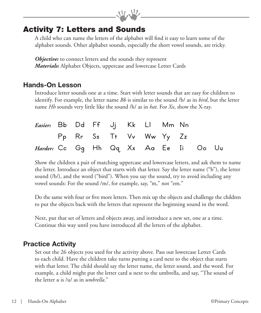# Activity 7: Letters and Sounds

A child who can name the letters of the alphabet will find it easy to learn some of the alphabet sounds. Other alphabet sounds, especially the short vowel sounds, are tricky.

 $\eta_{\rm 2} \eta_{\rm 2}$ 

**Objective:** to connect letters and the sounds they represent *Materials:* Alphabet Objects, uppercase and lowercase Letter Cards

#### **Hands-On Lesson**

Introduce letter sounds one at a time. Start with letter sounds that are easy for children to identify. For example, the letter name *Bb* is similar to the sound /b/ as in *bird*, but the letter name *Hh* sounds very little like the sound /h/ as in *hat*. For *Xx*, show the X-ray.

| Easier: Bb Dd Ff Jj Kk Ll Mm Nn              |  |  |                         |  |  |
|----------------------------------------------|--|--|-------------------------|--|--|
|                                              |  |  | Pp Rr Ss Tt Vv Ww Yy Zz |  |  |
| <i>Harder:</i> Cc Gg Hh Qq Xx Aa Ee Ii Oo Uu |  |  |                         |  |  |

Show the children a pair of matching uppercase and lowercase letters, and ask them to name the letter. Introduce an object that starts with that letter. Say the letter name ("b"), the letter sound (/b/), and the word ("bird"). When you say the sound, try to avoid including any vowel sounds: For the sound /m/, for example, say, "m," not "em."

Do the same with four or five more letters. Then mix up the objects and challenge the children to put the objects back with the letters that represent the beginning sound in the word.

Next, put that set of letters and objects away, and introduce a new set, one at a time. Continue this way until you have introduced all the letters of the alphabet.

#### **Practice Activity**

Set out the 26 objects you used for the activity above. Pass out lowercase Letter Cards to each child. Have the children take turns putting a card next to the object that starts with that letter. The child should say the letter name, the letter sound, and the word. For example, a child might put the letter card *u* next to the umbrella, and say, "The sound of the letter *u* is /u/ as in *umbrella*."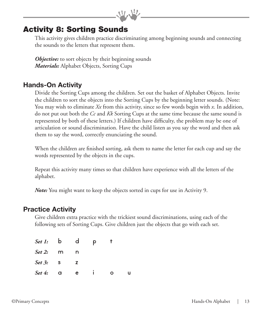# Activity 8: Sorting Sounds

This activity gives children practice discriminating among beginning sounds and connecting the sounds to the letters that represent them.

 $9.9$ 

*Objective:* to sort objects by their beginning sounds *Materials:* Alphabet Objects, Sorting Cups

## **Hands-On Activity**

Divide the Sorting Cups among the children. Set out the basket of Alphabet Objects. Invite the children to sort the objects into the Sorting Cups by the beginning letter sounds. (Note: You may wish to eliminate *Xx* from this activity, since so few words begin with *x*. In addition, do not put out both the *Cc* and *Kk* Sorting Cups at the same time because the same sound is represented by both of these letters.) If children have difficulty, the problem may be one of articulation or sound discrimination. Have the child listen as you say the word and then ask them to say the word, correctly enunciating the sound.

When the children are finished sorting, ask them to name the letter for each cup and say the words represented by the objects in the cups.

Repeat this activity many times so that children have experience with all the letters of the alphabet.

*Note:* You might want to keep the objects sorted in cups for use in Activity 9.

#### **Practice Activity**

Give children extra practice with the trickiest sound discriminations, using each of the following sets of Sorting Cups. Give children just the objects that go with each set.

| Set 1: b d p        |   |     |   |  |
|---------------------|---|-----|---|--|
| Set 2: $m$          |   | n n |   |  |
| Set 3: $\mathbf{s}$ |   | z   |   |  |
| Set 4:              | a | e   | O |  |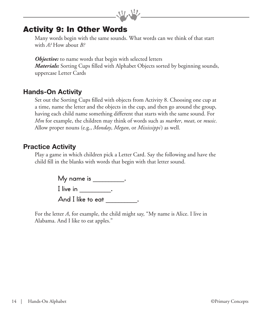## Activity 9: In Other Words

Many words begin with the same sounds. What words can we think of that start with *A?* How about *B?*

 $9.9$ 

**Objective:** to name words that begin with selected letters *Materials:* Sorting Cups filled with Alphabet Objects sorted by beginning sounds, uppercase Letter Cards

## **Hands-On Activity**

Set out the Sorting Cups filled with objects from Activity 8. Choosing one cup at a time, name the letter and the objects in the cup, and then go around the group, having each child name something different that starts with the same sound. For *Mm* for example, the children may think of words such as *marker*, *meat*, or *music*. Allow proper nouns (e.g., *Monday*, *Megan*, or *Mississippi*) as well.

## **Practice Activity**

Play a game in which children pick a Letter Card. Say the following and have the child fill in the blanks with words that begin with that letter sound.

> My name is \_\_\_\_\_\_\_\_\_\_. I live in Fig.  $\qquad \qquad$ .

And I like to eat  $\qquad \qquad \ldots$ 

For the letter *A*, for example, the child might say, "My name is Alice. I live in Alabama. And I like to eat apples."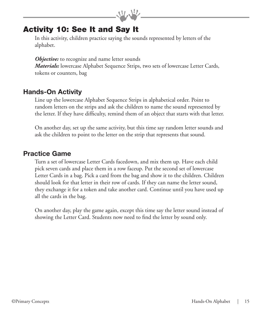# Activity 10: See It and Say It

In this activity, children practice saying the sounds represented by letters of the alphabet.

 $9.9$ 

*Objective:* to recognize and name letter sounds *Materials:* lowercase Alphabet Sequence Strips, two sets of lowercase Letter Cards, tokens or counters, bag

## **Hands-On Activity**

Line up the lowercase Alphabet Sequence Strips in alphabetical order. Point to random letters on the strips and ask the children to name the sound represented by the letter. If they have difficulty, remind them of an object that starts with that letter.

On another day, set up the same activity, but this time say random letter sounds and ask the children to point to the letter on the strip that represents that sound.

#### **Practice Game**

Turn a set of lowercase Letter Cards facedown, and mix them up. Have each child pick seven cards and place them in a row faceup. Put the second set of lowercase Letter Cards in a bag. Pick a card from the bag and show it to the children. Children should look for that letter in their row of cards. If they can name the letter sound, they exchange it for a token and take another card. Continue until you have used up all the cards in the bag.

On another day, play the game again, except this time say the letter sound instead of showing the Letter Card. Students now need to find the letter by sound only.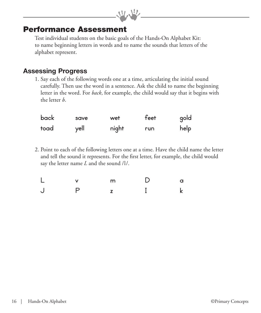## Performance Assessment

Test individual students on the basic goals of the Hands-On Alphabet Kit: to name beginning letters in words and to name the sounds that letters of the alphabet represent.

 $\mathcal{P}(\mathcal{P})$ 

#### **Assessing Progress**

1. Say each of the following words one at a time, articulating the initial sound carefully. Then use the word in a sentence. Ask the child to name the beginning letter in the word. For *back*, for example, the child would say that it begins with the letter *b*.

| <b>back</b> | save | wet   | feet | gold |
|-------------|------|-------|------|------|
| toad        | yell | night | run  | help |

2. Point to each of the following letters one at a time. Have the child name the letter and tell the sound it represents. For the first letter, for example, the child would say the letter name *L* and the sound /l/.

| $\mathsf{L}$ v            | m D | $\overline{a}$ |
|---------------------------|-----|----------------|
| $\mathsf{P}$<br>$\bigcup$ |     |                |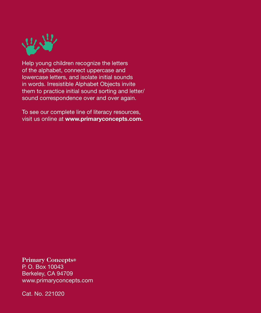

Help young children recognize the letters of the alphabet, connect uppercase and lowercase letters, and isolate initial sounds in words. Irresistible Alphabet Objects invite them to practice initial sound sorting and letter/ sound correspondence over and over again.

To see our complete line of literacy resources, visit us online at **www.primaryconcepts.com.**

**Primary Concepts®**

P. O. Box 10043 Berkeley, CA 94709 www.primaryconcepts.com

Cat. No. 221020